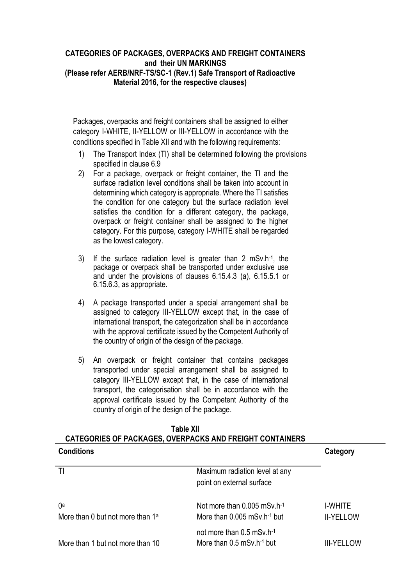#### **CATEGORIES OF PACKAGES, OVERPACKS AND FREIGHT CONTAINERS and their UN MARKINGS (Please refer AERB/NRF-TS/SC-1 (Rev.1) [Safe Transport of Radioactive](http://www.aerb.gov.in/AERBPortal/pages/English/t/publications/CODESGUIDES/RF-TR-SC-1.pdf)  [Material 2](http://www.aerb.gov.in/AERBPortal/pages/English/t/publications/CODESGUIDES/RF-TR-SC-1.pdf)016, for the respective clauses)**

Packages, overpacks and freight containers shall be assigned to either category I-WHITE, II-YELLOW or III-YELLOW in accordance with the conditions specified in Table XII and with the following requirements:

- 1) The Transport Index (TI) shall be determined following the provisions specified in clause 6.9
- 2) For a package, overpack or freight container, the TI and the surface radiation level conditions shall be taken into account in determining which category is appropriate. Where the TI satisfies the condition for one category but the surface radiation level satisfies the condition for a different category, the package, overpack or freight container shall be assigned to the higher category. For this purpose, category I-WHITE shall be regarded as the lowest category.
- 3) If the surface radiation level is greater than 2 mSv.h-1 , the package or overpack shall be transported under exclusive use and under the provisions of clauses 6.15.4.3 (a), 6.15.5.1 or 6.15.6.3, as appropriate.
- 4) A package transported under a special arrangement shall be assigned to category III-YELLOW except that, in the case of international transport, the categorization shall be in accordance with the approval certificate issued by the Competent Authority of the country of origin of the design of the package.
- 5) An overpack or freight container that contains packages transported under special arrangement shall be assigned to category III-YELLOW except that, in the case of international transport, the categorisation shall be in accordance with the approval certificate issued by the Competent Authority of the country of origin of the design of the package.

| <b>Conditions</b>                            |                                                                      | Category          |
|----------------------------------------------|----------------------------------------------------------------------|-------------------|
|                                              | Maximum radiation level at any<br>point on external surface          |                   |
| 0a                                           | Not more than $0.005$ mSv h <sup>-1</sup>                            | I-WHITE           |
| More than 0 but not more than 1 <sup>a</sup> | More than $0.005$ mSv.h <sup>-1</sup> but                            | <b>II-YELLOW</b>  |
| More than 1 but not more than 10             | not more than 0.5 mSv.h-1<br>More than $0.5$ mSv.h <sup>-1</sup> but | <b>III-YELLOW</b> |

#### **Table XII CATEGORIES OF PACKAGES, OVERPACKS AND FREIGHT CONTAINERS**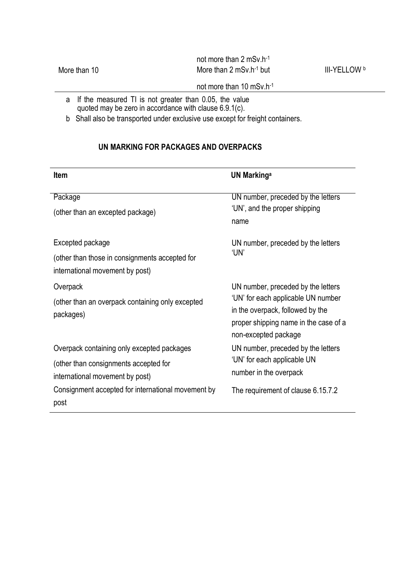|              | not more than 2 mSv.h-1           |                     |
|--------------|-----------------------------------|---------------------|
| More than 10 | More than $2 \text{ mSv.h-1}$ but | <b>III-YELLOW b</b> |
|              |                                   |                     |

# not more than 10 mSv.h-1

- a If the measured TI is not greater than 0.05, the value quoted may be zero in accordance with clause 6.9.1(c).
- b Shall also be transported under exclusive use except for freight containers.

# **UN MARKING FOR PACKAGES AND OVERPACKS**

| <b>Item</b>                                                                                                            | <b>UN Markinga</b>                                                                                                                                                            |
|------------------------------------------------------------------------------------------------------------------------|-------------------------------------------------------------------------------------------------------------------------------------------------------------------------------|
| Package<br>(other than an excepted package)                                                                            | UN number, preceded by the letters<br>'UN', and the proper shipping<br>name                                                                                                   |
| Excepted package<br>(other than those in consignments accepted for<br>international movement by post)                  | UN number, preceded by the letters<br>'UN'                                                                                                                                    |
| Overpack<br>(other than an overpack containing only excepted<br>packages)                                              | UN number, preceded by the letters<br>'UN' for each applicable UN number<br>in the overpack, followed by the<br>proper shipping name in the case of a<br>non-excepted package |
| Overpack containing only excepted packages<br>(other than consignments accepted for<br>international movement by post) | UN number, preceded by the letters<br>'UN' for each applicable UN<br>number in the overpack                                                                                   |
| Consignment accepted for international movement by<br>post                                                             | The requirement of clause 6.15.7.2                                                                                                                                            |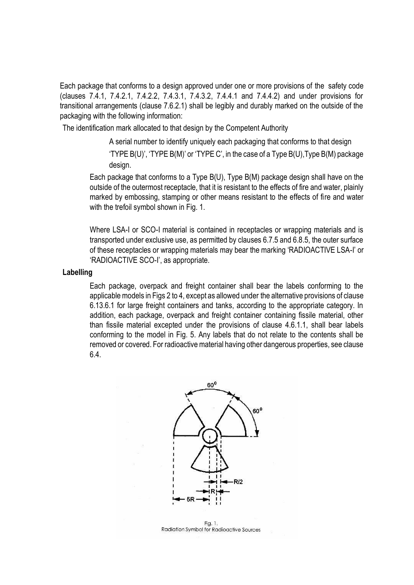Each package that conforms to a design approved under one or more provisions of the safety code (clauses 7.4.1, 7.4.2.1, 7.4.2.2, 7.4.3.1, 7.4.3.2, 7.4.4.1 and 7.4.4.2) and under provisions for transitional arrangements (clause 7.6.2.1) shall be legibly and durably marked on the outside of the packaging with the following information:

The identification mark allocated to that design by the Competent Authority

A serial number to identify uniquely each packaging that conforms to that design 'TYPE B(U)', 'TYPE B(M)' or 'TYPE C', in the case of a Type B(U),Type B(M) package design.

Each package that conforms to a Type B(U), Type B(M) package design shall have on the outside of the outermost receptacle, that it is resistant to the effects of fire and water, plainly marked by embossing, stamping or other means resistant to the effects of fire and water with the trefoil symbol shown in Fig. 1.

Where LSA-I or SCO-I material is contained in receptacles or wrapping materials and is transported under exclusive use, as permitted by clauses 6.7.5 and 6.8.5, the outer surface of these receptacles or wrapping materials may bear the marking 'RADIOACTIVE LSA-I' or 'RADIOACTIVE SCO-I', as appropriate.

#### **Labelling**

Each package, overpack and freight container shall bear the labels conforming to the applicable models in Figs 2 to 4, except as allowed under the alternative provisions of clause 6.13.6.1 for large freight containers and tanks, according to the appropriate category. In addition, each package, overpack and freight container containing fissile material, other than fissile material excepted under the provisions of clause 4.6.1.1, shall bear labels conforming to the model in Fig. 5. Any labels that do not relate to the contents shall be removed or covered. For radioactive material having other dangerous properties, see clause 6.4.



Fig. 1. Radiation Symbol for Radioactive Sources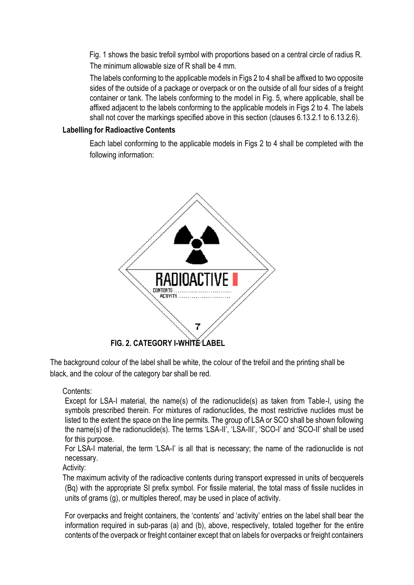Fig. 1 shows the basic trefoil symbol with proportions based on a central circle of radius R. The minimum allowable size of R shall be 4 mm.

The labels conforming to the applicable models in Figs 2 to 4 shall be affixed to two opposite sides of the outside of a package or overpack or on the outside of all four sides of a freight container or tank. The labels conforming to the model in Fig. 5, where applicable, shall be affixed adjacent to the labels conforming to the applicable models in Figs 2 to 4. The labels shall not cover the markings specified above in this section (clauses 6.13.2.1 to 6.13.2.6).

## **Labelling for Radioactive Contents**

Each label conforming to the applicable models in Figs 2 to 4 shall be completed with the following information:



The background colour of the label shall be white, the colour of the trefoil and the printing shall be black, and the colour of the category bar shall be red.

Contents:

Except for LSA-I material, the name(s) of the radionuclide(s) as taken from Table-I, using the symbols prescribed therein. For mixtures of radionuclides, the most restrictive nuclides must be listed to the extent the space on the line permits. The group of LSA or SCO shall be shown following the name(s) of the radionuclide(s). The terms 'LSA-II', 'LSA-III', 'SCO-I' and 'SCO-II' shall be used for this purpose.

For LSA-I material, the term 'LSA-I' is all that is necessary; the name of the radionuclide is not necessary.

Activity:

The maximum activity of the radioactive contents during transport expressed in units of becquerels (Bq) with the appropriate SI prefix symbol. For fissile material, the total mass of fissile nuclides in units of grams (g), or multiples thereof, may be used in place of activity.

For overpacks and freight containers, the 'contents' and 'activity' entries on the label shall bear the information required in sub-paras (a) and (b), above, respectively, totaled together for the entire contents of the overpack or freight container except that on labels for overpacks or freight containers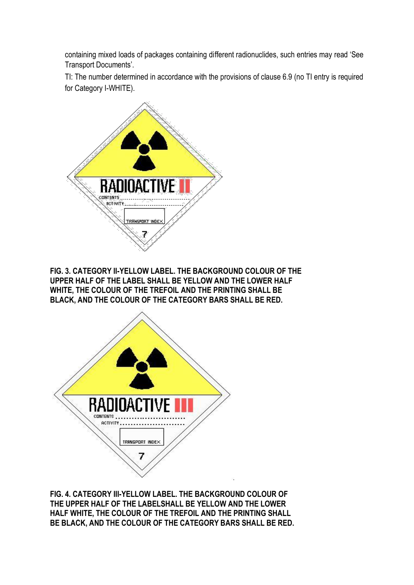containing mixed loads of packages containing different radionuclides, such entries may read 'See Transport Documents'.

TI: The number determined in accordance with the provisions of clause 6.9 (no TI entry is required for Category I-WHITE).



**FIG. 3. CATEGORY II-YELLOW LABEL. THE BACKGROUND COLOUR OF THE UPPER HALF OF THE LABEL SHALL BE YELLOW AND THE LOWER HALF WHITE, THE COLOUR OF THE TREFOIL AND THE PRINTING SHALL BE BLACK, AND THE COLOUR OF THE CATEGORY BARS SHALL BE RED.**



**FIG. 4. CATEGORY III-YELLOW LABEL. THE BACKGROUND COLOUR OF THE UPPER HALF OF THE LABELSHALL BE YELLOW AND THE LOWER HALF WHITE, THE COLOUR OF THE TREFOIL AND THE PRINTING SHALL BE BLACK, AND THE COLOUR OF THE CATEGORY BARS SHALL BE RED.**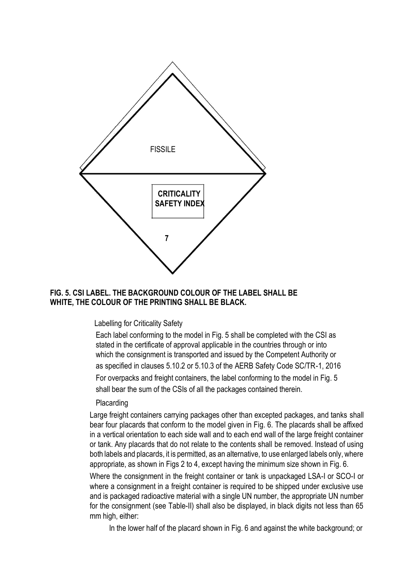

## **FIG. 5. CSI LABEL. THE BACKGROUND COLOUR OF THE LABEL SHALL BE WHITE, THE COLOUR OF THE PRINTING SHALL BE BLACK.**

Labelling for Criticality Safety

Each label conforming to the model in Fig. 5 shall be completed with the CSI as stated in the certificate of approval applicable in the countries through or into which the consignment is transported and issued by the Competent Authority or as specified in clauses 5.10.2 or 5.10.3 of the AERB Safety Code SC/TR-1, 2016 For overpacks and freight containers, the label conforming to the model in Fig. 5 shall bear the sum of the CSIs of all the packages contained therein.

#### Placarding

Large freight containers carrying packages other than excepted packages, and tanks shall bear four placards that conform to the model given in Fig. 6. The placards shall be affixed in a vertical orientation to each side wall and to each end wall of the large freight container or tank. Any placards that do not relate to the contents shall be removed. Instead of using both labels and placards, it is permitted, as an alternative, to use enlarged labels only, where appropriate, as shown in Figs 2 to 4, except having the minimum size shown in Fig. 6.

Where the consignment in the freight container or tank is unpackaged LSA-I or SCO-I or where a consignment in a freight container is required to be shipped under exclusive use and is packaged radioactive material with a single UN number, the appropriate UN number for the consignment (see Table-II) shall also be displayed, in black digits not less than 65 mm high, either:

In the lower half of the placard shown in Fig. 6 and against the white background; or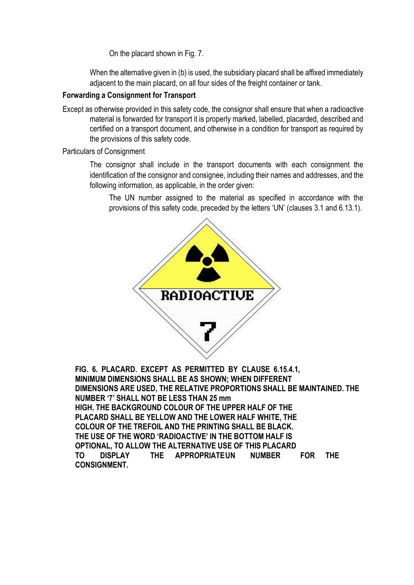On the placard shown in Fig. 7.

When the alternative given in (b) is used, the subsidiary placard shall be affixed immediately adjacent to the main placard, on all four sides of the freight container or tank.

## **Forwarding a Consignment for Transport**

Except as otherwise provided in this safety code, the consignor shall ensure that when a radioactive material is forwarded for transport it is properly marked, labelled, placarded, described and certified on a transport document, and otherwise in a condition for transport as required by the provisions of this safety code.

Particulars of Consignment

The consignor shall include in the transport documents with each consignment the identification of the consignor and consignee, including their names and addresses, and the following information, as applicable, in the order given:

The UN number assigned to the material as specified in accordance with the provisions of this safety code, preceded by the letters 'UN' (clauses 3.1 and 6.13.1).



**FIG. 6. PLACARD. EXCEPT AS PERMITTED BY CLAUSE 6.15.4.1, MINIMUM DIMENSIONS SHALL BE AS SHOWN; WHEN DIFFERENT DIMENSIONS ARE USED, THE RELATIVE PROPORTIONS SHALL BE MAINTAINED. THE NUMBER '7' SHALL NOT BE LESS THAN 25 mm HIGH. THE BACKGROUND COLOUR OF THE UPPER HALF OF THE PLACARD SHALL BE YELLOW AND THE LOWER HALF WHITE, THE COLOUR OF THE TREFOIL AND THE PRINTING SHALL BE BLACK. THE USE OF THE WORD 'RADIOACTIVE' IN THE BOTTOM HALF IS OPTIONAL, TO ALLOW THE ALTERNATIVE USE OF THIS PLACARD TO DISPLAY THE APPROPRIATEUN NUMBER FOR THE CONSIGNMENT.**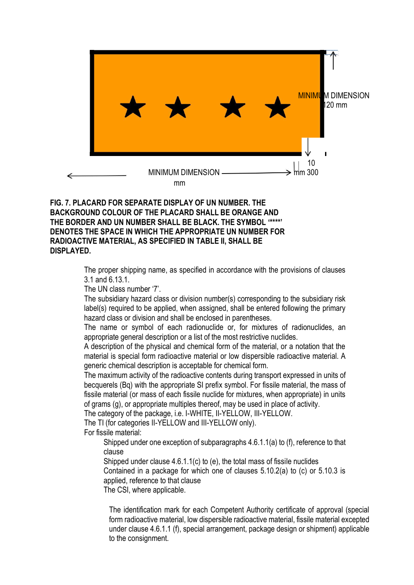

#### **FIG. 7. PLACARD FOR SEPARATE DISPLAY OF UN NUMBER. THE BACKGROUND COLOUR OF THE PLACARD SHALL BE ORANGE AND THE BORDER AND UN NUMBER SHALL BE BLACK. THE SYMBOL '\*\*\*\*' DENOTES THE SPACE IN WHICH THE APPROPRIATE UN NUMBER FOR RADIOACTIVE MATERIAL, AS SPECIFIED IN TABLE II, SHALL BE DISPLAYED.**

The proper shipping name, as specified in accordance with the provisions of clauses 3.1 and 6.13.1.

The UN class number '7'.

The subsidiary hazard class or division number(s) corresponding to the subsidiary risk label(s) required to be applied, when assigned, shall be entered following the primary hazard class or division and shall be enclosed in parentheses.

The name or symbol of each radionuclide or, for mixtures of radionuclides, an appropriate general description or a list of the most restrictive nuclides.

A description of the physical and chemical form of the material, or a notation that the material is special form radioactive material or low dispersible radioactive material. A generic chemical description is acceptable for chemical form.

The maximum activity of the radioactive contents during transport expressed in units of becquerels (Bq) with the appropriate SI prefix symbol. For fissile material, the mass of fissile material (or mass of each fissile nuclide for mixtures, when appropriate) in units of grams (g), or appropriate multiples thereof, may be used in place of activity.

The category of the package, i.e. I-WHITE, II-YELLOW, III-YELLOW.

The TI (for categories II-YELLOW and III-YELLOW only).

For fissile material:

Shipped under one exception of subparagraphs 4.6.1.1(a) to (f), reference to that clause

Shipped under clause 4.6.1.1(c) to (e), the total mass of fissile nuclides

Contained in a package for which one of clauses 5.10.2(a) to (c) or 5.10.3 is applied, reference to that clause

The CSI, where applicable.

The identification mark for each Competent Authority certificate of approval (special form radioactive material, low dispersible radioactive material, fissile material excepted under clause 4.6.1.1 (f), special arrangement, package design or shipment) applicable to the consignment.